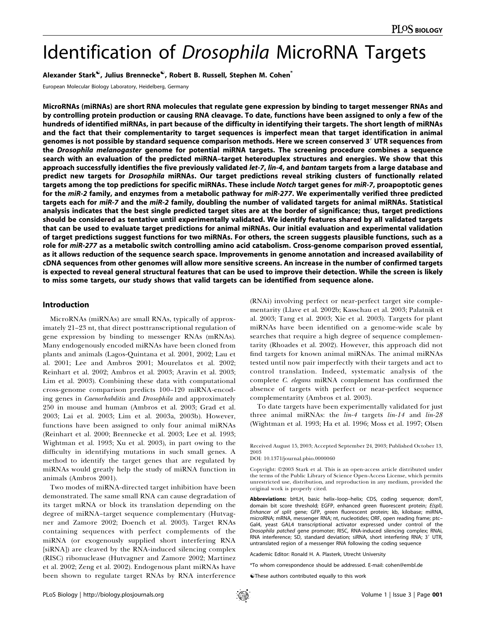# Identification of Drosophila MicroRNA Targets

Alexander Stark<sup>®</sup>, Julius Brennecke<sup>®</sup>, Robert B. Russell, Stephen M. Cohen<sup>\*</sup>

European Molecular Biology Laboratory, Heidelberg, Germany

MicroRNAs (miRNAs) are short RNA molecules that regulate gene expression by binding to target messenger RNAs and by controlling protein production or causing RNA cleavage. To date, functions have been assigned to only a few of the hundreds of identified miRNAs, in part because of the difficulty in identifying their targets. The short length of miRNAs and the fact that their complementarity to target sequences is imperfect mean that target identification in animal genomes is not possible by standard sequence comparison methods. Here we screen conserved 3' UTR sequences from the Drosophila melanogaster genome for potential miRNA targets. The screening procedure combines a sequence search with an evaluation of the predicted miRNA–target heteroduplex structures and energies. We show that this approach successfully identifies the five previously validated let-7, lin-4, and bantam targets from a large database and predict new targets for Drosophila miRNAs. Our target predictions reveal striking clusters of functionally related targets among the top predictions for specific miRNAs. These include Notch target genes for miR-7, proapoptotic genes for the miR-2 family, and enzymes from a metabolic pathway for miR-277. We experimentally verified three predicted targets each for miR-7 and the miR-2 family, doubling the number of validated targets for animal miRNAs. Statistical analysis indicates that the best single predicted target sites are at the border of significance; thus, target predictions should be considered as tentative until experimentally validated. We identify features shared by all validated targets that can be used to evaluate target predictions for animal miRNAs. Our initial evaluation and experimental validation of target predictions suggest functions for two miRNAs. For others, the screen suggests plausible functions, such as a role for miR-277 as a metabolic switch controlling amino acid catabolism. Cross-genome comparison proved essential, as it allows reduction of the sequence search space. Improvements in genome annotation and increased availability of cDNA sequences from other genomes will allow more sensitive screens. An increase in the number of confirmed targets is expected to reveal general structural features that can be used to improve their detection. While the screen is likely to miss some targets, our study shows that valid targets can be identified from sequence alone.

#### Introduction

MicroRNAs (miRNAs) are small RNAs, typically of approximately 21–23 nt, that direct posttranscriptional regulation of gene expression by binding to messenger RNAs (mRNAs). Many endogenously encoded miRNAs have been cloned from plants and animals (Lagos-Quintana et al. 2001, 2002; Lau et al. 2001; Lee and Ambros 2001; Mourelatos et al. 2002; Reinhart et al. 2002; Ambros et al. 2003; Aravin et al. 2003; Lim et al. 2003). Combining these data with computational cross-genome comparison predicts 100–120 miRNA-encoding genes in Caenorhabditis and Drosophila and approximately 250 in mouse and human (Ambros et al. 2003; Grad et al. 2003; Lai et al. 2003; Lim et al. 2003a, 2003b). However, functions have been assigned to only four animal miRNAs (Reinhart et al. 2000; Brennecke et al. 2003; Lee et al. 1993; Wightman et al. 1993; Xu et al. 2003), in part owing to the difficulty in identifying mutations in such small genes. A method to identify the target genes that are regulated by miRNAs would greatly help the study of miRNA function in animals (Ambros 2001).

Two modes of miRNA-directed target inhibition have been demonstrated. The same small RNA can cause degradation of its target mRNA or block its translation depending on the degree of miRNA–target sequence complementary (Hutvagner and Zamore 2002; Doench et al. 2003). Target RNAs containing sequences with perfect complements of the miRNA (or exogenously supplied short interfering RNA [siRNA]) are cleaved by the RNA-induced silencing complex (RISC) ribonuclease (Hutvagner and Zamore 2002; Martinez et al. 2002; Zeng et al. 2002). Endogenous plant miRNAs have been shown to regulate target RNAs by RNA interference (RNAi) involving perfect or near-perfect target site complementarity (Llave et al. 2002b; Kasschau et al. 2003; Palatnik et al. 2003; Tang et al. 2003; Xie et al. 2003). Targets for plant miRNAs have been identified on a genome-wide scale by searches that require a high degree of sequence complementarity (Rhoades et al. 2002). However, this approach did not find targets for known animal miRNAs. The animal miRNAs tested until now pair imperfectly with their targets and act to control translation. Indeed, systematic analysis of the complete C. elegans miRNA complement has confirmed the absence of targets with perfect or near-perfect sequence complementarity (Ambros et al. 2003).

To date targets have been experimentally validated for just three animal miRNAs: the lin-4 targets lin-14 and lin-28 (Wightman et al. 1993; Ha et al. 1996; Moss et al. 1997; Olsen

Received August 15, 2003; Accepted September 24, 2003; Published October 13, 2003

```
DOI: 10.1371/journal.pbio.0000060
```
Copyright: 2003 Stark et al. This is an open-access article distributed under the terms of the Public Library of Science Open-Access License, which permits unrestricted use, distribution, and reproduction in any medium, provided the original work is properly cited.

Abbreviations: bHLH, basic helix–loop–helix; CDS, coding sequence; domT, domain bit score threshold; EGFP, enhanced green fluorescent protein; E(spl), Enhancer of split gene; GFP, green fluorescent protein; kb, kilobase; miRNA, microRNA; mRNA, messenger RNA; nt, nucleotides; ORF, open reading frame; ptc– Gal4, yeast GAL4 transcriptional activator expressed under control of the Drosophila patched gene promoter; RISC, RNA-induced silencing complex; RNAi, RNA interference; SD, standard deviation; siRNA, short interfering RNA; 3' UTR, untranslated region of a messenger RNA following the coding sequence

Academic Editor: Ronald H. A. Plasterk, Utrecht University

\*To whom correspondence should be addressed. E-mail: cohen@embl.de

 $\bullet$  These authors contributed equally to this work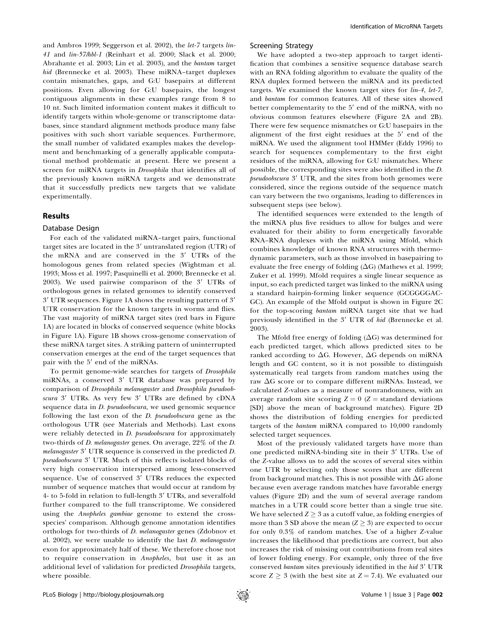and Ambros 1999; Seggerson et al. 2002), the let-7 targets lin-41 and lin-57/hbl-1 (Reinhart et al. 2000; Slack et al. 2000; Abrahante et al. 2003; Lin et al. 2003), and the bantam target hid (Brennecke et al. 2003). These miRNA-target duplexes contain mismatches, gaps, and G:U basepairs at different positions. Even allowing for G:U basepairs, the longest contiguous alignments in these examples range from 8 to 10 nt. Such limited information content makes it difficult to identify targets within whole-genome or transcriptome databases, since standard alignment methods produce many false positives with such short variable sequences. Furthermore, the small number of validated examples makes the development and benchmarking of a generally applicable computational method problematic at present. Here we present a screen for miRNA targets in Drosophila that identifies all of the previously known miRNA targets and we demonstrate that it successfully predicts new targets that we validate experimentally.

### Results

#### Database Design

For each of the validated miRNA–target pairs, functional target sites are located in the 3' untranslated region (UTR) of the mRNA and are conserved in the  $3'$  UTRs of the homologous genes from related species (Wightman et al. 1993; Moss et al. 1997; Pasquinelli et al. 2000; Brennecke et al. 2003). We used pairwise comparison of the  $3'$  UTRs of orthologous genes in related genomes to identify conserved 3' UTR sequences. Figure 1A shows the resulting pattern of 3' UTR conservation for the known targets in worms and flies. The vast majority of miRNA target sites (red bars in Figure 1A) are located in blocks of conserved sequence (white blocks in Figure 1A). Figure 1B shows cross-genome conservation of these miRNA target sites. A striking pattern of uninterrupted conservation emerges at the end of the target sequences that pair with the 5' end of the miRNAs.

To permit genome-wide searches for targets of Drosophila miRNAs, a conserved 3' UTR database was prepared by comparison of Drosophila melanogaster and Drosophila pseudoobscura 3' UTRs. As very few 3' UTRs are defined by cDNA sequence data in *D. pseudoobscura*, we used genomic sequence following the last exon of the *D. pseudoobscura* gene as the orthologous UTR (see Materials and Methods). Last exons were reliably detected in *D. pseudoobscura* for approximately two-thirds of D. melanogaster genes. On average, 22% of the D. melanogaster 3' UTR sequence is conserved in the predicted D. pseudoobscura 3' UTR. Much of this reflects isolated blocks of very high conservation interspersed among less-conserved sequence. Use of conserved 3' UTRs reduces the expected number of sequence matches that would occur at random by 4- to 5-fold in relation to full-length 3' UTRs, and severalfold further compared to the full transcriptome. We considered using the Anopheles gambiae genome to extend the crossspecies' comparison. Although genome annotation identifies orthologs for two-thirds of D. melanogaster genes (Zdobnov et al. 2002), we were unable to identify the last *D. melanogaster* exon for approximately half of these. We therefore chose not to require conservation in Anopheles, but use it as an additional level of validation for predicted Drosophila targets, where possible.

#### Screening Strategy

We have adopted a two-step approach to target identification that combines a sensitive sequence database search with an RNA folding algorithm to evaluate the quality of the RNA duplex formed between the miRNA and its predicted targets. We examined the known target sites for lin-4, let-7, and bantam for common features. All of these sites showed better complementarity to the 5' end of the miRNA, with no obvious common features elsewhere (Figure 2A and 2B). There were few sequence mismatches or G:U basepairs in the alignment of the first eight residues at the  $5'$  end of the miRNA. We used the alignment tool HMMer (Eddy 1996) to search for sequences complementary to the first eight residues of the miRNA, allowing for G:U mismatches. Where possible, the corresponding sites were also identified in the D. pseudoobscura 3' UTR, and the sites from both genomes were considered, since the regions outside of the sequence match can vary between the two organisms, leading to differences in subsequent steps (see below).

The identified sequences were extended to the length of the miRNA plus five residues to allow for bulges and were evaluated for their ability to form energetically favorable RNA–RNA duplexes with the miRNA using Mfold, which combines knowledge of known RNA structures with thermodynamic parameters, such as those involved in basepairing to evaluate the free energy of folding  $(\Delta G)$  (Mathews et al. 1999; Zuker et al. 1999). Mfold requires a single linear sequence as input, so each predicted target was linked to the miRNA using a standard hairpin-forming linker sequence (GCGGGGAC-GC). An example of the Mfold output is shown in Figure 2C for the top-scoring bantam miRNA target site that we had previously identified in the 3' UTR of hid (Brennecke et al. 2003).

The Mfold free energy of folding  $(\Delta G)$  was determined for each predicted target, which allows predicted sites to be ranked according to  $\Delta G$ . However,  $\Delta G$  depends on miRNA length and GC content, so it is not possible to distinguish systematically real targets from random matches using the raw  $\Delta G$  score or to compare different miRNAs. Instead, we calculated Z-values as a measure of nonrandomness, with an average random site scoring  $Z = 0$  ( $Z =$  standard deviations [SD] above the mean of background matches). Figure 2D shows the distribution of folding energies for predicted targets of the bantam miRNA compared to 10,000 randomly selected target sequences.

Most of the previously validated targets have more than one predicted miRNA-binding site in their 3' UTRs. Use of the Z-value allows us to add the scores of several sites within one UTR by selecting only those scores that are different from background matches. This is not possible with  $\Delta G$  alone because even average random matches have favorable energy values (Figure 2D) and the sum of several average random matches in a UTR could score better than a single true site. We have selected  $Z \geq 3$  as a cutoff value, as folding energies of more than 3 SD above the mean ( $Z \ge 3$ ) are expected to occur for only 0.3% of random matches. Use of a higher Z-value increases the likelihood that predictions are correct, but also increases the risk of missing out contributions from real sites of lower folding energy. For example, only three of the five conserved bantam sites previously identified in the hid 3' UTR score  $Z \geq 3$  (with the best site at  $Z = 7.4$ ). We evaluated our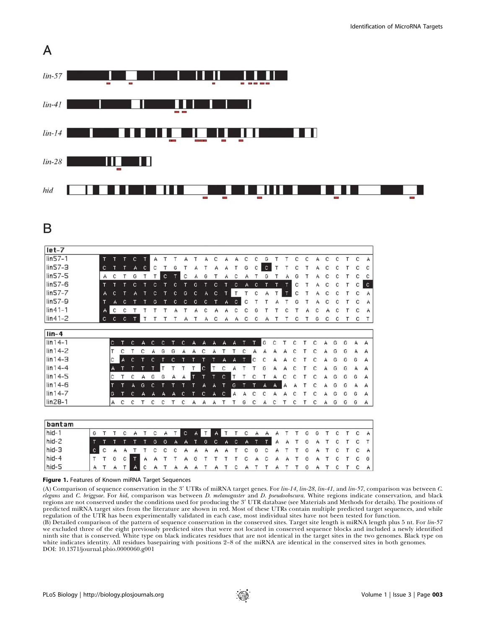



# B

| $let-7$                                                                         |              |   |   |   |   |   |   |   |   |   |   |   |   |              |   |   |   |   |   |   |   |   |   |   |   |   |              |
|---------------------------------------------------------------------------------|--------------|---|---|---|---|---|---|---|---|---|---|---|---|--------------|---|---|---|---|---|---|---|---|---|---|---|---|--------------|
| lin57-1                                                                         |              |   |   | с |   |   |   |   |   |   | А | с |   |              | с | с | G |   |   | с | с |   | с | с |   | с | А            |
| lin57-3                                                                         | c            |   |   | А | с | с |   |   |   |   |   | А | А |              | G | с | c |   |   | с |   |   | с | с |   | с | с            |
| lin57-5                                                                         | А            | с |   | G |   |   | с |   | C |   |   |   |   |              |   |   |   |   |   | G |   |   |   |   |   | с | с            |
| lin57-6                                                                         |              |   |   |   |   |   |   |   |   | G |   | с |   | с            | А | с |   |   |   | с |   |   | C | с |   | с | $\mathbb{C}$ |
| lin57-7                                                                         | А            | с |   |   |   | c |   | C | G | c | А | с | т | $\mathsf{T}$ |   | C | А |   | т | с |   |   | с | с |   | с | А            |
| lin57-9                                                                         |              | А | с |   |   | G |   |   |   | G |   |   | А | c            | с |   |   |   |   | G |   |   |   | С |   | с | А            |
| $lin41-1$                                                                       | А            | с |   |   |   |   |   |   |   |   |   |   | А |              |   | G |   |   |   |   |   |   |   | C |   | с | А            |
| $lin41-2$                                                                       | $\mathbf{C}$ | с | с |   |   |   |   |   | Α |   | Α | с | Α | А            | с | С | Α |   |   | с |   | G | с | с |   | с | т            |
|                                                                                 |              |   |   |   |   |   |   |   |   |   |   |   |   |              |   |   |   |   |   |   |   |   |   |   |   |   |              |
| $lin-4$                                                                         |              |   |   |   |   |   |   |   |   |   |   |   |   |              |   |   |   |   |   |   |   |   |   |   |   |   |              |
|                                                                                 |              | с |   | с | Α |   |   |   | с | А | A | А | A | А            |   |   | G | с |   | с |   | с | А | G | G | Α | A            |
|                                                                                 |              |   |   |   |   |   |   |   |   |   |   |   |   |              |   |   |   |   |   |   |   |   |   |   |   |   | А            |
|                                                                                 |              |   | c |   |   |   |   | G |   |   |   |   |   |              | с |   |   | А | А |   |   | с | Α | G | в | А |              |
|                                                                                 |              | с | А |   |   |   |   |   |   |   |   |   | А |              |   | с | C |   |   |   |   |   |   | G | G | G | А            |
|                                                                                 |              |   |   |   |   |   |   |   |   |   | c | T | с | А            |   |   | G | А |   |   |   |   |   | G | G | А | A            |
|                                                                                 |              | с |   | C |   | G |   |   | Α |   |   |   | c | т            |   |   |   | А |   |   |   |   | А | G | G | G | А            |
|                                                                                 |              |   |   | ۸ | G |   |   |   |   |   | Α | Α |   | G            |   |   | А | А | А |   |   |   |   | G | G | Α | A            |
| lin14-1<br>$lin14-2$<br>$lin14-3$<br>$lin14-4$<br>lin14-5<br>lin14-6<br>lin14-7 |              | G |   |   | А |   |   |   |   |   |   | Α |   | А            | А |   |   |   |   |   |   |   |   | G | G | G | А            |

| bantam |                                                         |  |      |  |  |  |  |                                                         |  |  |  |  |  |  |  |  |
|--------|---------------------------------------------------------|--|------|--|--|--|--|---------------------------------------------------------|--|--|--|--|--|--|--|--|
| hid-1  |                                                         |  |      |  |  |  |  | G T T C A T C A T C A T A T T C A A A T T G G T C T C A |  |  |  |  |  |  |  |  |
| hid-2  |                                                         |  |      |  |  |  |  | TTTTTGGAATGCACATHATGATCTCT                              |  |  |  |  |  |  |  |  |
| hid-3  | C C A A T T C C C A A A A A T C G C A T T G A T C T C A |  |      |  |  |  |  |                                                         |  |  |  |  |  |  |  |  |
| hid-4  |                                                         |  |      |  |  |  |  | TTGCTAATTAGTTTTCACAATGATCTCG                            |  |  |  |  |  |  |  |  |
| hid-5  |                                                         |  | ATAT |  |  |  |  | A C A T A A A T A T C A T T A T T G A T C T C A         |  |  |  |  |  |  |  |  |

#### Figure 1. Features of Known miRNA Target Sequences

(A) Comparison of sequence conservation in the 3' UTRs of miRNA target genes. For  $lin-14$ ,  $lin-28$ ,  $lin-41$ , and  $lin-57$ , comparison was between  $C$ . elegans and C. briggsae. For hid, comparison was between D. melanogaster and D. pseudoobscura. White regions indicate conservation, and black regions are not conserved under the conditions used for producing the 39 UTR database (see Materials and Methods for details). The positions of predicted miRNA target sites from the literature are shown in red. Most of these UTRs contain multiple predicted target sequences, and while regulation of the UTR has been experimentally validated in each case, most individual sites have not been tested for function.

(B) Detailed comparison of the pattern of sequence conservation in the conserved sites. Target site length is miRNA length plus 5 nt. For lin-57 we excluded three of the eight previously predicted sites that were not located in conserved sequence blocks and included a newly identified ninth site that is conserved. White type on black indicates residues that are not identical in the target sites in the two genomes. Black type on white indicates identity. All residues basepairing with positions 2-8 of the miRNA are identical in the conserved sites in both genomes. DOI: 10.1371/journal.pbio.0000060.g001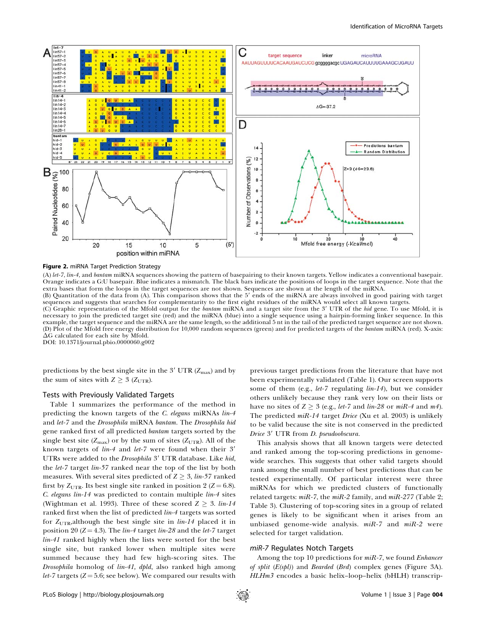

Figure 2. miRNA Target Prediction Strategy

(A) let-7, lin-4, and bantam miRNA sequences showing the pattern of basepairing to their known targets. Yellow indicates a conventional basepair. Orange indicates a G:U basepair. Blue indicates a mismatch. The black bars indicate the positions of loops in the target sequence. Note that the extra bases that form the loops in the target sequences are not shown. Sequences are shown at the length of the miRNA. (B) Quantitation of the data from (A). This comparison shows that the 59 ends of the miRNA are always involved in good pairing with target

sequences and suggests that searches for complementarity to the first eight residues of the miRNA would select all known targets. (C) Graphic representation of the Mfold output for the *bantam* miRNA and a target site from the 3' UTR of the hid gene. To use Mfold, it is necessary to join the predicted target site (red) and the miRNA (blue) into a single sequence using a hairpin-forming linker sequence. In this example, the target sequence and the miRNA are the same length, so the additional 5 nt in the tail of the predicted target sequence are not shown. (D) Plot of the Mfold free energy distribution for 10,000 random sequences (green) and for predicted targets of the bantam miRNA (red). X-axis:  $\Delta G$  calculated for each site by Mfold.

DOI: 10.1371/journal.pbio.0000060.g002

predictions by the best single site in the  $3'$  UTR ( $Z_{\text{max}}$ ) and by the sum of sites with  $Z \geq 3$  (Z<sub>UTR</sub>).

#### Tests with Previously Validated Targets

Table 1 summarizes the performance of the method in predicting the known targets of the C. elegans miRNAs lin-4 and let-7 and the Drosophila miRNA bantam. The Drosophila hid gene ranked first of all predicted bantam targets sorted by the single best site  $(Z_{\text{max}})$  or by the sum of sites  $(Z_{\text{UTR}})$ . All of the known targets of  $lin-4$  and  $let-7$  were found when their  $3'$ UTRs were added to the Drosophila 3' UTR database. Like hid, the let-7 target lin-57 ranked near the top of the list by both measures. With several sites predicted of  $Z \geq 3$ , *lin-57* ranked first by  $Z_{UTR}$ . Its best single site ranked in position 2 ( $Z = 6.8$ ). C. elegans lin-14 was predicted to contain multiple lin-4 sites (Wightman et al. 1993). Three of these scored  $Z \geq 3$ . *lin-14* ranked first when the list of predicted lin-4 targets was sorted for  $Z_{UTR}$ , although the best single site in  $lin-14$  placed it in position 20 ( $Z = 4.3$ ). The *lin-4* target *lin-28* and the *let-7* target lin-41 ranked highly when the lists were sorted for the best single site, but ranked lower when multiple sites were summed because they had few high-scoring sites. The Drosophila homolog of lin-41, dpld, also ranked high among *let-7* targets ( $Z = 5.6$ ; see below). We compared our results with previous target predictions from the literature that have not been experimentally validated (Table 1). Our screen supports some of them (e.g., let-7 regulating lin-14), but we consider others unlikely because they rank very low on their lists or have no sites of  $Z \geq 3$  (e.g., *let-7* and *lin-28* or *miR-4* and *m4*). The predicted miR-14 target Drice (Xu et al. 2003) is unlikely to be valid because the site is not conserved in the predicted Drice 3' UTR from D. pseudoobscura.

This analysis shows that all known targets were detected and ranked among the top-scoring predictions in genomewide searches. This suggests that other valid targets should rank among the small number of best predictions that can be tested experimentally. Of particular interest were three miRNAs for which we predicted clusters of functionally related targets:  $miR$ -7, the  $miR$ -2 family, and  $miR$ -277 (Table 2; Table 3). Clustering of top-scoring sites in a group of related genes is likely to be significant when it arises from an unbiased genome-wide analysis. miR-7 and miR-2 were selected for target validation.

## miR-7 Regulates Notch Targets

Among the top 10 predictions for miR-7, we found Enhancer of split  $(E(spl))$  and Bearded (Brd) complex genes (Figure 3A). HLHm3 encodes a basic helix–loop–helix (bHLH) transcrip-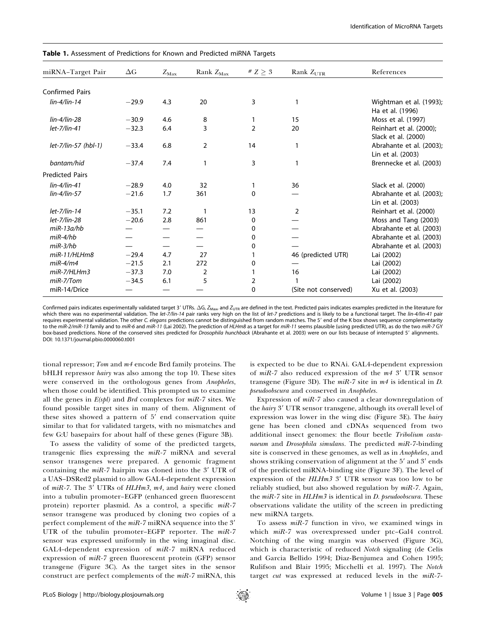| miRNA-Target Pair      | $\Delta G$ | $Z_{\text{Max}}$ | Rank $Z_{Max}$ | # $Z \geq 3$   | Rank $Z_{UTR}$       | References                                     |
|------------------------|------------|------------------|----------------|----------------|----------------------|------------------------------------------------|
| <b>Confirmed Pairs</b> |            |                  |                |                |                      |                                                |
| $lin-4/lin-14$         | $-29.9$    | 4.3              | 20             | 3              |                      | Wightman et al. (1993);<br>Ha et al. (1996)    |
| $lin-4/lin-28$         | $-30.9$    | 4.6              | 8              | 1              | 15                   | Moss et al. (1997)                             |
| let-7/lin-41           | $-32.3$    | 6.4              | 3              | $\overline{2}$ | 20                   | Reinhart et al. (2000);<br>Slack et al. (2000) |
| let-7/lin-57 (hbl-1)   | $-33.4$    | 6.8              | $\overline{2}$ | 14             | $\mathbf{1}$         | Abrahante et al. (2003);<br>Lin et al. (2003)  |
| bantam/hid             | $-37.4$    | 7.4              | 1              | 3              | $\mathbf{1}$         | Brennecke et al. (2003)                        |
| <b>Predicted Pairs</b> |            |                  |                |                |                      |                                                |
| $lin-4/lin-41$         | $-28.9$    | 4.0              | 32             | 1              | 36                   | Slack et al. (2000)                            |
| $lin-4/lin-57$         | $-21.6$    | 1.7              | 361            | 0              |                      | Abrahante et al. (2003);<br>Lin et al. (2003)  |
| let-7/lin-14           | $-35.1$    | 7.2              | 1              | 13             | 2                    | Reinhart et al. (2000)                         |
| let-7/lin-28           | $-20.6$    | 2.8              | 861            | 0              |                      | Moss and Tang (2003)                           |
| $miR-13a/hb$           |            |                  |                | 0              |                      | Abrahante et al. (2003)                        |
| $miR-4/hb$             |            |                  |                | 0              |                      | Abrahante et al. (2003)                        |
| $miR-3/hb$             |            |                  |                | 0              |                      | Abrahante et al. (2003)                        |
| $miR-11/HLHm8$         | $-29.4$    | 4.7              | 27             |                | 46 (predicted UTR)   | Lai (2002)                                     |
| $miR-4/m4$             | $-21.5$    | 2.1              | 272            | 0              |                      | Lai (2002)                                     |
| miR-7/HLHm3            | $-37.3$    | 7.0              | 2              |                | 16                   | Lai (2002)                                     |
| $miR-7/T$ om           | $-34.5$    | 6.1              | 5              | 2              |                      | Lai (2002)                                     |
| miR-14/Drice           |            |                  |                | 0              | (Site not conserved) | Xu et al. (2003)                               |

Table 1. Assessment of Predictions for Known and Predicted miRNA Targets

Confirmed pairs indicates experimentally validated target 3' UTRs.  $\Delta$ G, Z<sub>Max</sub>, and Z<sub>UTR</sub> are defined in the text. Predicted pairs indicates examples predicted in the literature for which there was no experimental validation. The let-7/lin-14 pair ranks very high on the list of let-7 predictions and is likely to be a functional target. The lin-4/lin-41 pair requires experimental validation. The other C. elegans predictions cannot be distinguished from random matches. The 5' end of the K box shows sequence complementarity to the miR-2/miR-13 family and to miR-6 and miR-11 (Lai 2002). The prediction of HLHm8 as a target for miR-11 seems plausible (using predicted UTR), as do the two miR-7 GY box-based predictions. None of the conserved sites predicted for Drosophila hunchback (Abrahante et al. 2003) were on our lists because of interrupted 5' alignments. DOI: 10.1371/journal.pbio.0000060.t001

tional repressor; Tom and m4 encode Brd family proteins. The bHLH repressor hairy was also among the top 10. These sites were conserved in the orthologous genes from Anopheles, when those could be identified. This prompted us to examine all the genes in  $E(spl)$  and Brd complexes for miR-7 sites. We found possible target sites in many of them. Alignment of these sites showed a pattern of  $5'$  end conservation quite similar to that for validated targets, with no mismatches and few G:U basepairs for about half of these genes (Figure 3B).

To assess the validity of some of the predicted targets, transgenic flies expressing the miR-7 miRNA and several sensor transgenes were prepared. A genomic fragment containing the  $miR-7$  hairpin was cloned into the  $3'$  UTR of a UAS–DSRed2 plasmid to allow GAL4-dependent expression of  $miR-7$ . The 3' UTRs of  $HLHm3$ ,  $m4$ , and hairy were cloned into a tubulin promoter–EGFP (enhanced green fluorescent protein) reporter plasmid. As a control, a specific miR-7 sensor transgene was produced by cloning two copies of a perfect complement of the  $miR-7$  miRNA sequence into the  $3'$ UTR of the tubulin promoter–EGFP reporter. The miR-7 sensor was expressed uniformly in the wing imaginal disc. GAL4-dependent expression of miR-7 miRNA reduced expression of miR-7 green fluorescent protein (GFP) sensor transgene (Figure 3C). As the target sites in the sensor construct are perfect complements of the miR-7 miRNA, this is expected to be due to RNAi. GAL4-dependent expression of  $miR-7$  also reduced expression of the  $m4$  3' UTR sensor transgene (Figure 3D). The  $miR-7$  site in  $m4$  is identical in D. pseudoobscura and conserved in Anopheles.

Expression of  $miR-7$  also caused a clear downregulation of the hairy 3' UTR sensor transgene, although its overall level of expression was lower in the wing disc (Figure 3E). The hairy gene has been cloned and cDNAs sequenced from two additional insect genomes: the flour beetle Tribolium castanaeum and Drosophila simulans. The predicted miR-7-binding site is conserved in these genomes, as well as in Anopheles, and shows striking conservation of alignment at the 5' and 3' ends of the predicted miRNA-binding site (Figure 3F). The level of expression of the  $HLHm3$  3' UTR sensor was too low to be reliably studied, but also showed regulation by  $miR-7$ . Again, the  $miR-7$  site in  $HLHm3$  is identical in D. pseudoobscura. These observations validate the utility of the screen in predicting new miRNA targets.

To assess miR-7 function in vivo, we examined wings in which  $miR-7$  was overexpressed under ptc-Gal4 control. Notching of the wing margin was observed (Figure 3G), which is characteristic of reduced Notch signaling (de Celis and Garcia Bellido 1994; Diaz-Benjumea and Cohen 1995; Rulifson and Blair 1995; Micchelli et al. 1997). The Notch target cut was expressed at reduced levels in the miR-7-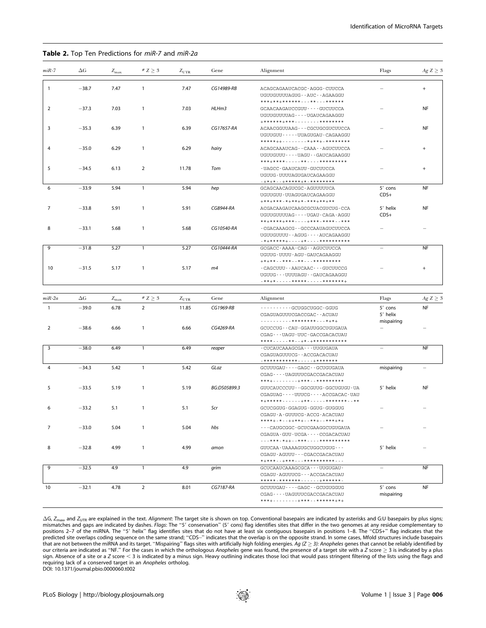|  |  |  | Table 2. Top Ten Predictions for miR-7 and miR-2a |  |  |  |  |
|--|--|--|---------------------------------------------------|--|--|--|--|
|--|--|--|---------------------------------------------------|--|--|--|--|

| $miR-7$        | $\Delta G$ | $Z_{\rm max}$ | # $Z \geq 3$   | $Z_{\text{UTR}}$ | Gene         | Alignment                                                                                                                                                                                                                                                                                                                                                                                                                                                                                                                                                                                                                                                                                                                                                                           | Flags                    | $Ag Z \geq 3$                    |
|----------------|------------|---------------|----------------|------------------|--------------|-------------------------------------------------------------------------------------------------------------------------------------------------------------------------------------------------------------------------------------------------------------------------------------------------------------------------------------------------------------------------------------------------------------------------------------------------------------------------------------------------------------------------------------------------------------------------------------------------------------------------------------------------------------------------------------------------------------------------------------------------------------------------------------|--------------------------|----------------------------------|
| $\overline{1}$ | $-38.7$    | 7.47          | $\mathbf{1}$   | 7.47             | CG14989-RB   | ACAGCAGAAUCACGC - AGGG - CUUCCA<br>UGUUGUUUUAGUG - - AUC - - AGAAGGU<br>***+**+******---**---******                                                                                                                                                                                                                                                                                                                                                                                                                                                                                                                                                                                                                                                                                 |                          | $\ddot{}$                        |
| $\overline{2}$ | $-37.3$    | 7.03          | $\mathbf{1}$   | 7.03             | HLHm3        | GCAACAAGAUCCGUU - - - - GUCUUCCA<br>UGUUGUUUUAG - - - - UGAUCAGAAGGU                                                                                                                                                                                                                                                                                                                                                                                                                                                                                                                                                                                                                                                                                                                |                          | NF                               |
| 3              | $-35.3$    | 6.39          | $\mathbf{1}$   | 6.39             | CG17657-RA   | $+******+***+**********$<br>ACAACGGUUAAG - - - CGCUGCGUCUUCCA<br>UGUUGUU - - - - - UUAGUGAU - CAGAAGGU                                                                                                                                                                                                                                                                                                                                                                                                                                                                                                                                                                                                                                                                              |                          | NF                               |
| 4              | $-35.0$    | 6.29          | $\mathbf{1}$   | 6.29             | hairy        | *****++--------*+**+-********<br>ACAGCAAAUCAG - - CAAA - - AGUCUUCCA<br>UGUUGUUU - - - - UAGU - - GAUCAGAAGGU                                                                                                                                                                                                                                                                                                                                                                                                                                                                                                                                                                                                                                                                       |                          | $\begin{array}{c} + \end{array}$ |
| 5              | $-34.5$    | 6.13          | $\overline{2}$ | 11.78            | Tom          | ***+****-----**---*********<br>- UAGCC - GAAUCAUU - GUCUUCCA<br>UGUUG - UUUUAGUGAUCAGAAGGU                                                                                                                                                                                                                                                                                                                                                                                                                                                                                                                                                                                                                                                                                          |                          | $\ddot{}$                        |
| 6              | $-33.9$    | 5.94          | $\mathbf{1}$   | 5.94             | hep          | $-+*+*--+****+*-*********$<br>GCAGCAACAGUCGC - AGUUUUUCA<br>UGUUGUU - UUAGUGAUCAGAAGGU                                                                                                                                                                                                                                                                                                                                                                                                                                                                                                                                                                                                                                                                                              | 5' cons<br>$CDS+$        | NF                               |
| 7              | $-33.8$    | 5.91          | $\mathbf{1}$   | 5.91             | CG8944-RA    | $+ * * + * * * - * + * * + * * + * * + * *$<br>ACGACAAGAUCAAGCGCUACGUCUG - CCA<br>UGUUGUUUUAG - - - - UGAU - CAGA - AGGU                                                                                                                                                                                                                                                                                                                                                                                                                                                                                                                                                                                                                                                            | 5' helix<br>$CDS+$       | NF                               |
| 8              | $-33.1$    | 5.68          | $\mathbf{1}$   | 5.68             | CG10540-RA   | - CGACAAAGCG - - GCCCAAUAGUCUUCCA<br>UGUUGUUUU - - AGUG - - - - AUCAGAAGGU                                                                                                                                                                                                                                                                                                                                                                                                                                                                                                                                                                                                                                                                                                          |                          |                                  |
| 9              | $-31.8$    | 5.27          | $\mathbf{1}$   | 5.27             | CG10444-RA   | GCGACC - AAAA - CAG - - AGUCUUCCA<br>UGUUG - UUUU - AGU - GAUCAGAAGGU<br>+*+**--***--**---*********                                                                                                                                                                                                                                                                                                                                                                                                                                                                                                                                                                                                                                                                                 | $\overline{\phantom{0}}$ | NF                               |
| 10             | $-31.5$    | 5.17          | $\mathbf{1}$   | 5.17             | m4           | - CAGCUUU - - AAUCAAC - - - GUCUUCCG<br>UGUUG - - - UUUUAGU - - GAUCAGAAGGU<br>$- * * + * - - - - * * * * * - - - - * * * * * * * + + +$                                                                                                                                                                                                                                                                                                                                                                                                                                                                                                                                                                                                                                            |                          | $\begin{array}{c} + \end{array}$ |
| $m$ i $R$ -2a  | $\Delta G$ | $Z_{\rm max}$ | # $Z \geq$ 3   | $Z_{\text{UTR}}$ | Gene         | Alignment                                                                                                                                                                                                                                                                                                                                                                                                                                                                                                                                                                                                                                                                                                                                                                           | Flags                    | $Ag Z \geq 3$                    |
| $\mathbf{1}$   | $-39.0$    | 6.78          | $\overline{2}$ | 11.85            | CG1969-RB    | ----------GCUGGCUGGC-GGUG<br>CGAGUAGUUUCGACCGAC - - ACUAU                                                                                                                                                                                                                                                                                                                                                                                                                                                                                                                                                                                                                                                                                                                           | 5' cons<br>5' helix      | NF                               |
| $\overline{2}$ | $-38.6$    |               | $\mathbf{1}$   | 6.66             | CG4269-RA    | GCUCCUG - - CAU - GGAUUGGCUGUGAUA<br>CGAG - - - UAGU - UUC - GACCGACACUAU                                                                                                                                                                                                                                                                                                                                                                                                                                                                                                                                                                                                                                                                                                           | mispairing<br>-          |                                  |
|                |            | 6.66          |                |                  |              |                                                                                                                                                                                                                                                                                                                                                                                                                                                                                                                                                                                                                                                                                                                                                                                     |                          |                                  |
| 3              | $-38.0$    | 6.49          | $\mathbf{1}$   | 6.49             | reaper       | - CUCAUCAAAGCGA - - - UUGUGAUA<br>CGAGUAGUUUCG - - ACCGACACUAU                                                                                                                                                                                                                                                                                                                                                                                                                                                                                                                                                                                                                                                                                                                      | $\overline{\phantom{0}}$ | NF                               |
| 4              | $-34.3$    | 5.42          | $\mathbf{1}$   | 5.42             | GLaz         | GCUUUGAU - - - - GAGC - - GCUGUGAUA<br>CGAG - - - - UAGUUUCGACCGACACUAU                                                                                                                                                                                                                                                                                                                                                                                                                                                                                                                                                                                                                                                                                                             | mispairing               |                                  |
| 5              | $-33.5$    | 5.19          | $\mathbf{1}$   | 5.19             | BG:DS05899.3 | ***+--------+***--**********<br>GUUCAUCCCUU - - GGCGUUG - GGCUGUGU - UA<br>CGAGUAG - - - - UUUCG - - - - ACCGACAC - UAU                                                                                                                                                                                                                                                                                                                                                                                                                                                                                                                                                                                                                                                             | 5' helix                 | NF                               |
| 6              | $-33.2$    | 5.1           | $\mathbf{1}$   | 5.1              | Scr          | *******------**----*******--**<br>GCUCGGUG - GGAGUG - GGUG - GUGGUG<br>CGAGU - A - GUUUCG - ACCG - ACACUAU                                                                                                                                                                                                                                                                                                                                                                                                                                                                                                                                                                                                                                                                          |                          |                                  |
| $\overline{7}$ | $-33.0$    | 5.04          | $\mathbf{1}$   | 5.04             | hbs          | ****+-*--++**+--**+--***+*+<br>--- CAUGCGGC - GCUCGAAGGCUGUGAUA<br>CGAGUA - GUU - UCGA - - - - CCGACACUAU                                                                                                                                                                                                                                                                                                                                                                                                                                                                                                                                                                                                                                                                           |                          |                                  |
| 8              | $-32.8$    | 4.99          | $\mathbf{1}$   | 4.99             | amon         | $\cdots \cdot \star \star \star \cdot \star + + \cdots \star \star \star \cdots \cdot \star \star \star \star \star \star \star \star \star \star \star \star$<br>GUUCAA - UAAAAGUGCUGGCUGUG - - -<br>CGAGU - AGUUU - - - CGACCGACACUAU                                                                                                                                                                                                                                                                                                                                                                                                                                                                                                                                             | 5' helix                 |                                  |
| 9              | $-32.5$    | 4.9           | $\mathbf{1}$   | 4.9              | grim         | ${\color{red} \star+{\color{red} \star}+{\color{red} \star}+{\color{red} \star}+{\color{red} \star}+{\color{red} \star}+{\color{red} \star}+{\color{red} \star}+{\color{red} \star}+{\color{red} \star}+{\color{red} \star}+{\color{red} \star}+{\color{red} \star}+{\color{red} \star}+{\color{red} \star}+{\color{red} \star}+{\color{red} \star}+{\color{red} \star}+{\color{red} \star}+{\color{red} \star}+{\color{red} \star}+{\color{red} \star}+{\color{red} \star}+{\color{red} \star}+{\color{red}$<br>GCUCAAUCAAAGCGCA - - - UUGUGAU -<br>CGAGU - AGUUUCG - - - ACCGACACUAU<br>$\begin{array}{l} \color{blue}{\color{blue}\star\star\star\star\star\star\star\star\star\star\star\star\star\star\ldots\,-\,-\,-\,+\,\star\star\star\star\star\star\star\,.} \end{array}$ | $\overline{\phantom{0}}$ | NF                               |

 $\Delta$ G, Z<sub>max</sub>, and Z<sub>UTR</sub> are explained in the text. Alignment: The target site is shown on top. Conventional basepairs are indicated by asterisks and G:U basepairs by plus signs; mismatches and gaps are indicated by dashes. Flags: The "5' conservation" (5' cons) flag identifies sites that differ in the two genomes at any residue complementary to<br>positions 2–7 of the miRNA. The "5' helix" flag ident predicted site overlaps coding sequence on the same strand; "CDS-" indicates that the overlap is on the opposite strand. In some cases, Mfold structures include basepairs that are not between the miRNA and its target. "Mispairing" flags sites with artificially high folding energies. Ag (Z ≥ 3): A*nopheles* genes that cannot be reliably identified by<br>our criteria are indicated as "NF." For sign. Absence of a site or a Z score < 3 is indicated by a minus sign. Heavy outlining indicates those loci that would pass stringent filtering of the lists using the flags and requiring lack of a conserved target in an Anopheles ortholog. DOI: 10.1371/journal.pbio.0000060.t002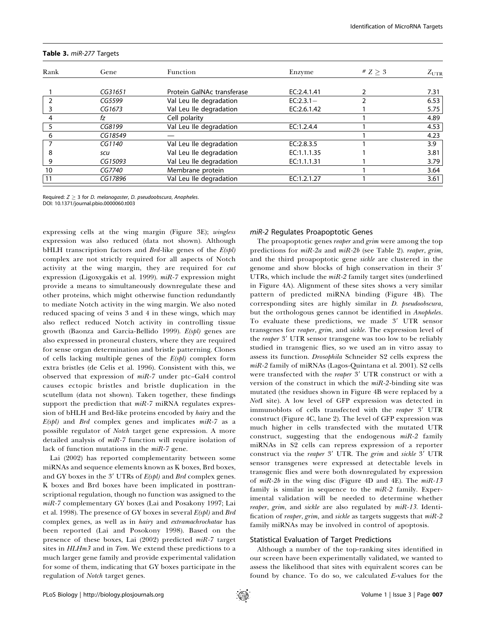| Rank | Gene    | Function                   | Enzyme      | # $Z > 3$ | $Z_{\text{UTR}}$ |
|------|---------|----------------------------|-------------|-----------|------------------|
|      |         |                            |             |           |                  |
|      | CG31651 | Protein GalNAc transferase | EC:2.4.1.41 |           | 7.31             |
|      | CG5599  | Val Leu Ile degradation    | $EC:2.3.1-$ |           | 6.53             |
|      | CG1673  | Val Leu Ile degradation    | EC:2.6.1.42 |           | 5.75             |
|      | fz      | Cell polarity              |             |           | 4.89             |
| 5    | CG8199  | Val Leu Ile degradation    | EC:1.2.4.4  |           | 4.53             |
| 6    | CG18549 |                            |             |           | 4.23             |
|      | CG1140  | Val Leu Ile degradation    | EC:2.8.3.5  |           | 3.9              |
| 8    | scu     | Val Leu Ile degradation    | EC:1.1.1.35 |           | 3.81             |
| 9    | CG15093 | Val Leu Ile degradation    | EC:1.1.1.31 |           | 3.79             |
| 10   | CG7740  | Membrane protein           |             |           | 3.64             |
|      | CG17896 | Val Leu Ile degradation    | EC:1.2.1.27 |           | 3.61             |
|      |         |                            |             |           |                  |

#### Table 3. miR-277 Targets

Required:  $Z \geq 3$  for D. melanogaster, D. pseudoobscura, Anopheles. DOI: 10.1371/journal.pbio.0000060.t003

expressing cells at the wing margin (Figure 3E); wingless expression was also reduced (data not shown). Although bHLH transcription factors and  $Brd$ -like genes of the  $E(spl)$ complex are not strictly required for all aspects of Notch activity at the wing margin, they are required for cut expression (Ligoxygakis et al. 1999). miR-7 expression might provide a means to simultaneously downregulate these and other proteins, which might otherwise function redundantly to mediate Notch activity in the wing margin. We also noted reduced spacing of veins 3 and 4 in these wings, which may also reflect reduced Notch activity in controlling tissue growth (Baonza and Garcia-Bellido 1999). E(spl) genes are also expressed in proneural clusters, where they are required for sense organ determination and bristle patterning. Clones of cells lacking multiple genes of the  $E(spl)$  complex form extra bristles (de Celis et al. 1996). Consistent with this, we observed that expression of miR-7 under ptc–Gal4 control causes ectopic bristles and bristle duplication in the scutellum (data not shown). Taken together, these findings support the prediction that  $miR-7$  miRNA regulates expression of bHLH and Brd-like proteins encoded by hairy and the  $E(spl)$  and Brd complex genes and implicates  $miR-7$  as a possible regulator of Notch target gene expression. A more detailed analysis of miR-7 function will require isolation of lack of function mutations in the  $miR-7$  gene.

Lai (2002) has reported complementarity between some miRNAs and sequence elements known as K boxes, Brd boxes, and GY boxes in the  $3'$  UTRs of  $E(spl)$  and  $Brd$  complex genes. K boxes and Brd boxes have been implicated in posttranscriptional regulation, though no function was assigned to the miR-7 complementary GY boxes (Lai and Posakony 1997; Lai et al. 1998). The presence of GY boxes in several  $E(spl)$  and Brd complex genes, as well as in hairy and extramachrochatae has been reported (Lai and Posokony 1998). Based on the presence of these boxes, Lai (2002) predicted miR-7 target sites in HLHm3 and in Tom. We extend these predictions to a much larger gene family and provide experimental validation for some of them, indicating that GY boxes participate in the regulation of Notch target genes.

### miR-2 Regulates Proapoptotic Genes

The proapoptotic genes reaper and grim were among the top predictions for miR-2a and miR-2b (see Table 2). reaper, grim, and the third proapoptotic gene sickle are clustered in the genome and show blocks of high conservation in their 3' UTRs, which include the  $miR-2$  family target sites (underlined in Figure 4A). Alignment of these sites shows a very similar pattern of predicted miRNA binding (Figure 4B). The corresponding sites are highly similar in D. pseudoobscura, but the orthologous genes cannot be identified in Anopheles. To evaluate these predictions, we made 3' UTR sensor transgenes for reaper, grim, and sickle. The expression level of the reaper 3' UTR sensor transgene was too low to be reliably studied in transgenic flies, so we used an in vitro assay to assess its function. Drosophila Schneider S2 cells express the miR-2 family of miRNAs (Lagos-Quintana et al. 2001). S2 cells were transfected with the reaper 3' UTR construct or with a version of the construct in which the miR-2-binding site was mutated (the residues shown in Figure 4B were replaced by a NotI site). A low level of GFP expression was detected in immunoblots of cells transfected with the reaper 3' UTR construct (Figure 4C, lane 2). The level of GFP expression was much higher in cells transfected with the mutated UTR construct, suggesting that the endogenous miR-2 family miRNAs in S2 cells can repress expression of a reporter construct via the reaper 3' UTR. The grim and sickle 3' UTR sensor transgenes were expressed at detectable levels in transgenic flies and were both downregulated by expression of  $miR-2b$  in the wing disc (Figure 4D and 4E). The  $miR-13$ family is similar in sequence to the  $miR-2$  family. Experimental validation will be needed to determine whether reaper, grim, and sickle are also regulated by miR-13. Identification of reaper, grim, and sickle as targets suggests that miR-2 family miRNAs may be involved in control of apoptosis.

#### Statistical Evaluation of Target Predictions

Although a number of the top-ranking sites identified in our screen have been experimentally validated, we wanted to assess the likelihood that sites with equivalent scores can be found by chance. To do so, we calculated E-values for the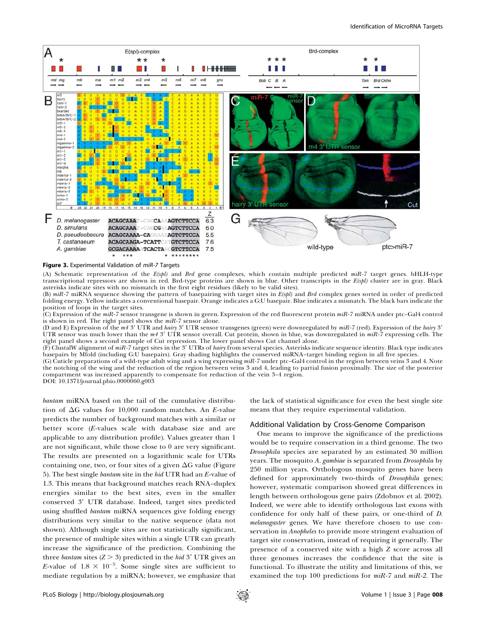

#### Figure 3. Experimental Validation of miR-7 Targets

(A) Schematic representation of the  $E(spl)$  and Brd gene complexes, which contain multiple predicted miR-7 target genes. bHLH-type transcriptional repressors are shown in red. Brd-type proteins are shown in blue. Other transcripts in the  $E(spl)$  cluster are in gray. Black asterisks indicate sites with no mismatch in the first eight residues (likely to be valid sites).

(B)  $miR$ -7 miRNA sequence showing the pattern of basepairing with target sites in  $E(spl)$  and Brd complex genes sorted in order of predicted folding energy. Yellow indicates a conventional basepair. Orange indicates a G:U basepair. Blue indicates a mismatch. The black bars indicate the position of loops in the target sites.

(C) Expression of the  $miR$ -7 sensor transgene is shown in green. Expression of the red fluorescent protein  $miR$ -7 miRNA under ptc–Gal4 control is shown in red. The right panel shows the miR-7 sensor alone.

(D and E) Expression of the m4 3' UTR and hairy 3' UTR sensor transgenes (green) were downregulated by miR-7 (red). Expression of the hairy 3' UTR sensor was much lower than the  $m43'$  UTR sensor overall. Cut protein, shown in blue, was downregulated in  $mR-7$  expressing cells. The right panel shows a second example of Cut repression. The lower panel shows Cut channel alone.

 $(F)$  ClustalW alignment of miR-7 target sites in the 3' UTRs of hairy from several species. Asterisks indicate sequence identity. Black type indicates basepairs by Mfold (including G:U basepairs). Gray shading highlights the conserved miRNA–target binding region in all five species.

(G) Cuticle preparations of a wild-type adult wing and a wing expressing miR-7 under ptc–Gal4 control in the region between veins 3 and 4. Note the notching of the wing and the reduction of the region between veins 3 and 4, leading to partial fusion proximally. The size of the posterior compartment was increased apparently to compensate for reduction of the vein 3–4 region. DOI: 10.1371/journal.pbio.0000060.g003

bantam miRNA based on the tail of the cumulative distribution of  $\Delta G$  values for 10,000 random matches. An E-value predicts the number of background matches with a similar or better score (E-values scale with database size and are applicable to any distribution profile). Values greater than 1 are not significant, while those close to 0 are very significant. The results are presented on a logarithmic scale for UTRs containing one, two, or four sites of a given  $\Delta G$  value (Figure 5). The best single bantam site in the hid UTR had an E-value of 1.3. This means that background matches reach RNA–duplex energies similar to the best sites, even in the smaller conserved 3' UTR database. Indeed, target sites predicted using shuffled bantam miRNA sequences give folding energy distributions very similar to the native sequence (data not shown). Although single sites are not statistically significant, the presence of multiple sites within a single UTR can greatly increase the significance of the prediction. Combining the three *bantam* sites  $(Z > 3)$  predicted in the *hid* 3' UTR gives an E-value of  $1.8 \times 10^{-5}$ . Some single sites are sufficient to mediate regulation by a miRNA; however, we emphasize that the lack of statistical significance for even the best single site means that they require experimental validation.

#### Additional Validation by Cross-Genome Comparison

One means to improve the significance of the predictions would be to require conservation in a third genome. The two Drosophila species are separated by an estimated 30 million years. The mosquito A. gambiae is separated from Drosophila by 250 million years. Orthologous mosquito genes have been defined for approximately two-thirds of Drosophila genes; however, systematic comparison showed great differences in length between orthologous gene pairs (Zdobnov et al. 2002). Indeed, we were able to identify orthologous last exons with confidence for only half of these pairs, or one-third of D. melanogaster genes. We have therefore chosen to use conservation in Anopheles to provide more stringent evaluation of target site conservation, instead of requiring it generally. The presence of a conserved site with a high Z score across all three genomes increases the confidence that the site is functional. To illustrate the utility and limitations of this, we examined the top 100 predictions for miR-7 and miR-2. The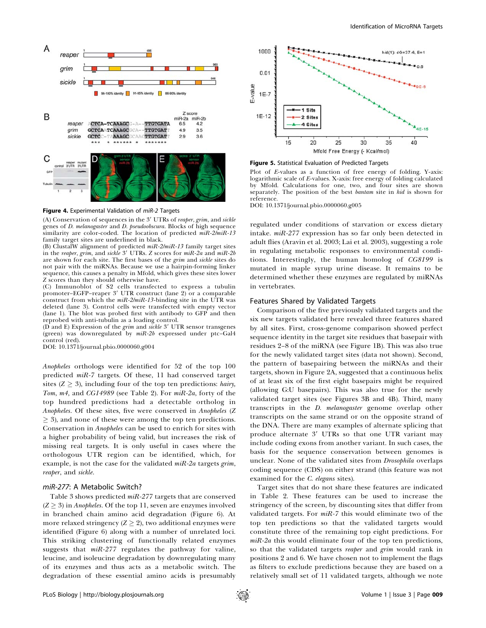

Figure 4. Experimental Validation of miR-2 Targets

(A) Conservation of sequences in the  $3'$  UTRs of reaper, grim, and sickle genes of D. melanogaster and D. pseudoobscura. Blocks of high sequence similarity are color-coded. The location of predicted  $\vec{m}$  R-2 $\hat{m}$  R-13 family target sites are underlined in black.

(B) ClustalW alignment of predicted  $miR-2/miR-13$  family target sites in the reaper, grim, and sickle  $3'$  UTRs. Z scores for  $miR-2a$  and  $miR-2b$ are shown for each site. The first bases of the grim and sickle sites do not pair with the miRNAs. Because we use a hairpin-forming linker sequence, this causes a penalty in Mfold, which gives these sites lower Z scores than they should otherwise have.

(C) Immunoblot of S2 cells transfected to express a tubulin promoter–EGFP–reaper 3' UTR construct (lane 2) or a comparable construct from which the miR-2/miR-13-binding site in the UTR was deleted (lane 3). Control cells were transfected with empty vector (lane 1). The blot was probed first with antibody to GFP and then reprobed with anti-tubulin as a loading control.

(D and E) Expression of the grim and sickle  $3'$  UTR sensor transgenes (green) was downregulated by miR-2b expressed under ptc–Gal4 control (red).

DOI: 10.1371/journal.pbio.0000060.g004

Anopheles orthologs were identified for 52 of the top 100 predicted miR-7 targets. Of these, 11 had conserved target sites ( $Z \geq 3$ ), including four of the top ten predictions: *hairy*, Tom, m4, and CG14989 (see Table 2). For miR-2a, forty of the top hundred predictions had a detectable ortholog in Anopheles. Of these sites, five were conserved in Anopheles (Z  $\geq$  3), and none of these were among the top ten predictions. Conservation in Anopheles can be used to enrich for sites with a higher probability of being valid, but increases the risk of missing real targets. It is only useful in cases where the orthologous UTR region can be identified, which, for example, is not the case for the validated  $m/R-2a$  targets grim, reaper, and sickle.

#### miR-277: A Metabolic Switch?

Table 3 shows predicted miR-277 targets that are conserved  $(Z \ge 3)$  in Anopheles. Of the top 11, seven are enzymes involved in branched chain amino acid degradation (Figure 6). At more relaxed stringency  $(Z \ge 2)$ , two additional enzymes were identified (Figure 6) along with a number of unrelated loci. This striking clustering of functionally related enzymes suggests that miR-277 regulates the pathway for valine, leucine, and isoleucine degradation by downregulating many of its enzymes and thus acts as a metabolic switch. The degradation of these essential amino acids is presumably



Figure 5. Statistical Evaluation of Predicted Targets

Plot of E-values as a function of free energy of folding. Y-axis: logarithmic scale of E-values. X-axis: free energy of folding calculated by Mfold. Calculations for one, two, and four sites are shown separately. The position of the best bantam site in hid is shown for reference.<br>DOI: 10.1371/journal.pbio.0000060.g005

regulated under conditions of starvation or excess dietary intake. miR-277 expression has so far only been detected in adult flies (Aravin et al. 2003; Lai et al. 2003), suggesting a role in regulating metabolic responses to environmental conditions. Interestingly, the human homolog of CG8199 is mutated in maple syrup urine disease. It remains to be determined whether these enzymes are regulated by miRNAs in vertebrates.

#### Features Shared by Validated Targets

Comparison of the five previously validated targets and the six new targets validated here revealed three features shared by all sites. First, cross-genome comparison showed perfect sequence identity in the target site residues that basepair with residues 2–8 of the miRNA (see Figure 1B). This was also true for the newly validated target sites (data not shown). Second, the pattern of basepairing between the miRNAs and their targets, shown in Figure 2A, suggested that a continuous helix of at least six of the first eight basepairs might be required (allowing G:U basepairs). This was also true for the newly validated target sites (see Figures 3B and 4B). Third, many transcripts in the D. melanogaster genome overlap other transcripts on the same strand or on the opposite strand of the DNA. There are many examples of alternate splicing that produce alternate 3' UTRs so that one UTR variant may include coding exons from another variant. In such cases, the basis for the sequence conservation between genomes is unclear. None of the validated sites from Drosophila overlaps coding sequence (CDS) on either strand (this feature was not examined for the C. elegans sites).

Target sites that do not share these features are indicated in Table 2. These features can be used to increase the stringency of the screen, by discounting sites that differ from validated targets. For miR-7 this would eliminate two of the top ten predictions so that the validated targets would constitute three of the remaining top eight predictions. For miR-2a this would eliminate four of the top ten predictions, so that the validated targets reaper and grim would rank in positions 2 and 6. We have chosen not to implement the flags as filters to exclude predictions because they are based on a relatively small set of 11 validated targets, although we note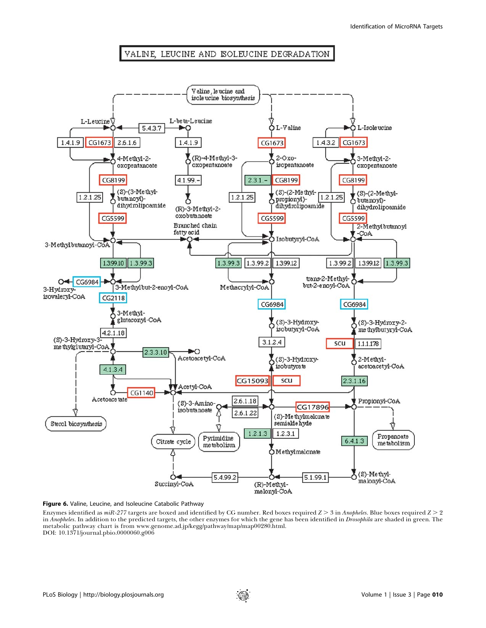# VALINE, LEUCINE AND ISOLEUCINE DEGRADATION





Enzymes identified as miR-277 targets are boxed and identified by CG number. Red boxes required  $Z > 3$  in Anopheles. Blue boxes required  $Z > 2$ in Anopheles. In addition to the predicted targets, the other enzymes for which the gene has been identified in Drosophila are shaded in green. The metabolic pathway chart is from www.genome.ad.jp/kegg/pathway/map/map00280.html. DOI: 10.1371/journal.pbio.0000060.g006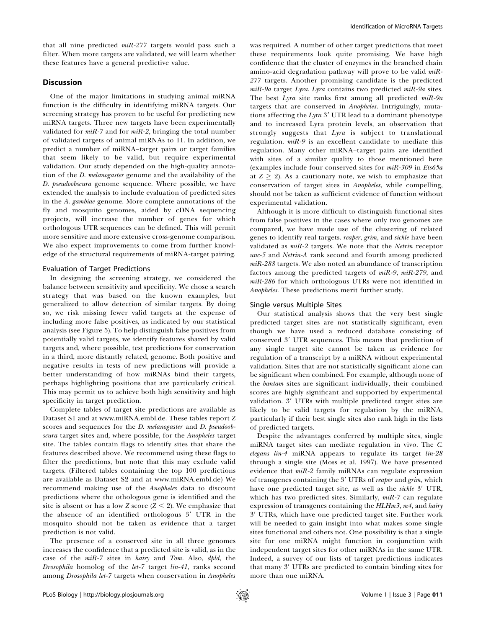that all nine predicted miR-277 targets would pass such a filter. When more targets are validated, we will learn whether these features have a general predictive value.

# **Discussion**

One of the major limitations in studying animal miRNA function is the difficulty in identifying miRNA targets. Our screening strategy has proven to be useful for predicting new miRNA targets. Three new targets have been experimentally validated for  $miR-7$  and for  $miR-2$ , bringing the total number of validated targets of animal miRNAs to 11. In addition, we predict a number of miRNA–target pairs or target families that seem likely to be valid, but require experimental validation. Our study depended on the high-quality annotation of the D. melanogaster genome and the availability of the D. pseudoobscura genome sequence. Where possible, we have extended the analysis to include evaluation of predicted sites in the A. gambiae genome. More complete annotations of the fly and mosquito genomes, aided by cDNA sequencing projects, will increase the number of genes for which orthologous UTR sequences can be defined. This will permit more sensitive and more extensive cross-genome comparison. We also expect improvements to come from further knowledge of the structural requirements of miRNA-target pairing.

#### Evaluation of Target Predictions

In designing the screening strategy, we considered the balance between sensitivity and specificity. We chose a search strategy that was based on the known examples, but generalized to allow detection of similar targets. By doing so, we risk missing fewer valid targets at the expense of including more false positives, as indicated by our statistical analysis (see Figure 5). To help distinguish false positives from potentially valid targets, we identify features shared by valid targets and, where possible, test predictions for conservation in a third, more distantly related, genome. Both positive and negative results in tests of new predictions will provide a better understanding of how miRNAs bind their targets, perhaps highlighting positions that are particularly critical. This may permit us to achieve both high sensitivity and high specificity in target prediction.

Complete tables of target site predictions are available as Dataset S1 and at www.miRNA.embl.de. These tables report Z scores and sequences for the D. melanogaster and D. pseudoobscura target sites and, where possible, for the Anopheles target site. The tables contain flags to identify sites that share the features described above. We recommend using these flags to filter the predictions, but note that this may exclude valid targets. (Filtered tables containing the top 100 predictions are available as Dataset S2 and at www.miRNA.embl.de) We recommend making use of the Anopheles data to discount predictions where the othologous gene is identified and the site is absent or has a low Z score  $(Z < 2)$ . We emphasize that the absence of an identified orthologous  $3'$  UTR in the mosquito should not be taken as evidence that a target prediction is not valid.

The presence of a conserved site in all three genomes increases the confidence that a predicted site is valid, as in the case of the miR-7 sites in hairy and Tom. Also, dpld, the Drosophila homolog of the let-7 target lin-41, ranks second among Drosophila let-7 targets when conservation in Anopheles was required. A number of other target predictions that meet these requirements look quite promising. We have high confidence that the cluster of enzymes in the branched chain amino-acid degradation pathway will prove to be valid miR-277 targets. Another promising candidate is the predicted miR-9a target Lyra. Lyra contains two predicted miR-9a sites. The best Lyra site ranks first among all predicted miR-9a targets that are conserved in Anopheles. Intriguingly, mutations affecting the  $Lyra 3' UTR$  lead to a dominant phenotype and to increased Lyra protein levels, an observation that strongly suggests that Lyra is subject to translational regulation. miR-9 is an excellent candidate to mediate this regulation. Many other miRNA–target pairs are identified with sites of a similar quality to those mentioned here (examples include four conserved sites for miR-309 in Ets65a at  $Z \geq 2$ ). As a cautionary note, we wish to emphasize that conservation of target sites in Anopheles, while compelling, should not be taken as sufficient evidence of function without experimental validation.

Although it is more difficult to distinguish functional sites from false positives in the cases where only two genomes are compared, we have made use of the clustering of related genes to identify real targets. reaper, grim, and sickle have been validated as miR-2 targets. We note that the Netrin receptor unc-5 and Netrin-A rank second and fourth among predicted miR-288 targets. We also noted an abundance of transcription factors among the predicted targets of miR-9, miR-279, and miR-286 for which orthologous UTRs were not identified in Anopheles. These predictions merit further study.

#### Single versus Multiple Sites

Our statistical analysis shows that the very best single predicted target sites are not statistically significant, even though we have used a reduced database consisting of conserved 3' UTR sequences. This means that prediction of any single target site cannot be taken as evidence for regulation of a transcript by a miRNA without experimental validation. Sites that are not statistically significant alone can be significant when combined. For example, although none of the bantam sites are significant individually, their combined scores are highly significant and supported by experimental validation. 3' UTRs with multiple predicted target sites are likely to be valid targets for regulation by the miRNA, particularly if their best single sites also rank high in the lists of predicted targets.

Despite the advantages conferred by multiple sites, single miRNA target sites can mediate regulation in vivo. The C. elegans lin-4 miRNA appears to regulate its target lin-28 through a single site (Moss et al. 1997). We have presented evidence that miR-2 family miRNAs can regulate expression of transgenes containing the 3' UTRs of reaper and grim, which have one predicted target site, as well as the sickle 3' UTR, which has two predicted sites. Similarly,  $miR-7$  can regulate expression of transgenes containing the HLHm3, m4, and hairy 3' UTRs, which have one predicted target site. Further work will be needed to gain insight into what makes some single sites functional and others not. One possibility is that a single site for one miRNA might function in conjunction with independent target sites for other miRNAs in the same UTR. Indeed, a survey of our lists of target predictions indicates that many 3' UTRs are predicted to contain binding sites for more than one miRNA.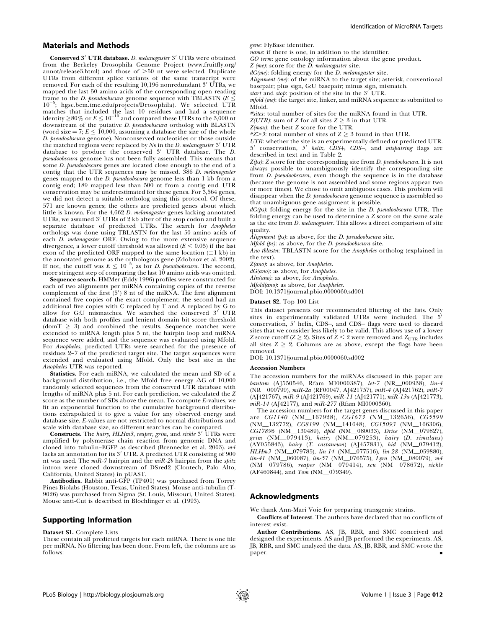#### Materials and Methods

Conserved 3' UTR database. D. melanogaster 3' UTRs were obtained from the Berkeley Drosophila Genome Project (www.fruitfly.org/ annot/release3.html) and those of  $>50$  nt were selected. Duplicate UTRs from different splice variants of the same transcript were removed. For each of the resulting 10,196 nonredundant 3' UTRs, we mapped the last 50 amino acids of the corresponding open reading frame to the *D. pseudoobscura* genome sequence with TBLASTN ( $E \le$ 10<sup>-5</sup>; hgsc.bcm.tmc.edu/projects/Drosophila). We selected UTR matches that included the last 10 residues and had a sequence identity  ${\geq}80\%$  or  $E\leq 10^{-10}$  and compared these UTRs to the  $3{,}000$  nt downstream of the putative D. pseudoobscura ortholog with BLASTN (word size = 7;  $E \le 10,000$ , assuming a database the size of the whole D. pseudoobscura genome). Nonconserved nucleotides or those outside the matched regions were replaced by  $N<sub>s</sub>$  in the  $D$ . melanogaster  $3'$  UTR database to produce the conserved  $3'$  UTR database. The  $D$ . pseudoobscura genome has not been fully assembled. This means that some *D. pseudoobscura* genes are located close enough to the end of a contig that the UTR sequences may be missed. 386 D. melanogaster genes mapped to the D. pseudoobscura genome less than 1 kb from a contig end; 189 mapped less than 500 nt from a contig end. UTR conservation may be underestimated for these genes. For 3,564 genes, we did not detect a suitable ortholog using this protocol. Of these, 571 are known genes; the others are predicted genes about which little is known. For the 4,662 D. melanogaster genes lacking annotated UTRs, we assumed 3' UTRs of 2 kb after of the stop codon and built a separate database of predicted UTRs. The search for Anopheles orthologs was done using TBLASTN for the last 50 amino acids of each D. melanogaster ORF. Owing to the more extensive sequence divergence, a lower cutoff threshold was allowed ( $E \le 0.05$ ) if the last exon of the predicted ORF mapped to the same location  $(±1 kb)$  in the annotated genome as the orthologous gene (Zdobnov et al. 2002). If not, the cutoff was  $E \leq 10^{-5}$ , as for *D. pseudoobscura*. The second, more stringent step of comparing the last 10 amino acids was omitted.

Sequence search. HMMer (Eddy 1996) profiles were constructed for each of two alignments per miRNA containing copies of the reverse complement of the first  $(5')$  8 nt of the miRNA. The first alignment contained five copies of the exact complement; the second had an additional five copies with C replaced by T and A replaced by G to allow for G:U mismatches. We searched the conserved 3' UTR database with both profiles and lenient domain bit score threshold (domT  $\geq$  3) and combined the results. Sequence matches were extended to miRNA length plus 5 nt, the hairpin loop and miRNA sequence were added, and the sequence was evaluated using Mfold. For Anopheles, predicted UTRs were searched for the presence of residues 2–7 of the predicted target site. The target sequences were extended and evaluated using Mfold. Only the best site in the Anopheles UTR was reported.

Statistics. For each miRNA, we calculated the mean and SD of a background distribution, i.e., the Mfold free energy  $\Delta G$  of 10,000 randomly selected sequences from the conserved UTR database with lengths of miRNA plus 5 nt. For each prediction, we calculated the Z score as the number of SDs above the mean. To compute E-values, we fit an exponential function to the cumulative background distributions extrapolated it to give a value for any observed energy and database size. E-values are not restricted to normal distributions and scale with database size, so different searches can be compared.

Constructs. The hairy, HLHm3, reaper, grim, and sickle 3' UTRs were amplified by polymerase chain reaction from genomic DNA and cloned into tubulin–EGFP as described (Brennecke et al. 2003). m4 lacks an annotation for its 3' UTR. A predicted UTR consisting of 900 nt was used. The  $miR-7$  hairpin and the  $miR-2b$  hairpin from the spitz intron were cloned downstream of DSred2 (Clontech, Palo Alto, California, United States) in pUAST.

Antibodies. Rabbit anti-GFP (TP401) was purchased from Torrey Pines Biolabs (Houston, Texas, United States). Mouse anti-tubulin (T-9026) was purchased from Sigma (St. Louis, Missouri, United States). Mouse anti-Cut is described in Blochlinger et al. (1993).

#### Supporting Information

#### Dataset S1. Complete Lists

These contain all predicted targets for each miRNA. There is one file per miRNA. No filtering has been done. From left, the columns are as follows:

gene: FlyBase identifier.

name: if there is one, in addition to the identifier.

GO term: gene ontology information about the gene product.

 $Z$  (me): score for the  $\breve{D}$ . melanogaster site.

 $dG$ (me): folding energy for the  $D$ . melanogaster site.

Alignment (me): of the miRNA to the target site; asterisk, conventional basepair; plus sign, G:U basepair; minus sign, mismatch.

start and stop: position of the site in the 3' UTR.

mfold (me): the target site, linker, and miRNA sequence as submitted to Mfold.

#sites: total number of sites for the miRNA found in that UTR.

 $Z(UTR)$ : sum of Z for all sites  $Z \geq 3$  in that UTR.

Z(max): the best Z score for the UTR.

 $\#Z>3$ : total number of sites of  $Z \geq 3$  found in that UTR.

UTR: whether the site is an experimentally defined or predicted UTR. 5' conservation, 5' helix, CDS+, CDS-, and mispairing flags are described in text and in Table 2.

 $Z(ps)$ :  $Z$  score for the corresponding site from  $D$ .  $pseudoobscura$ . It is not always possible to unambiguously identify the corresponding site from D. pseudoobscura, even though the sequence is in the database (because the genome is not assembled and some regions appear two or more times). We chose to omit ambiguous cases. This problem will disappear when the D. pseudoobscura genome sequence is assembled so that unambiguous gene assignment is possible.

 $dG(ps)$ : folding energy for the site in the D. pseudoobscura UTR. The folding energy can be used to determine a Z score on the same scale as the site from D. melanogaster. This allows a direct comparison of site quality.

Alignment (ps): as above, for the D. pseudoobscura site.

 $Mfold$  (ps): as above, for the  $D.$  pseudoobscura site.

Ano-tblastn: TBLASTN score for the Anopheles ortholog (explained in the text).

Z(ano): as above, for Anopheles.

dG(ano): as above, for Anopheles.

Aln(ano): as above, for Anopheles.

Mfold(ano): as above, for Anopheles.

DOI: 10.1371/journal.pbio.0000060.sd001

#### Dataset S2. Top 100 List

This dataset presents our recommended filtering of the lists. Only sites in experimentally validated UTRs were included. The 5' conservation, 5' helix, CDS+, and CDS- flags were used to discard sites that we consider less likely to be valid. This allows use of a lower Z score cutoff ( $Z \ge 2$ ). Sites of  $Z < 2$  were removed and  $Z_{\text{UTR}}$  includes all sites  $Z \geq 2$ . Columns are as above, except the flags have been removed.

DOI: 10.1371/journal.pbio.0000060.sd002

#### Accession Numbers

The accession numbers for the miRNAs discussed in this paper are bantam (AJ550546, Rfam MI0000387), let-7 (NR $_000938$ ), lin-4 (NR\_000799), miR-2a (RF00047, AJ421757), miR-4 (AJ421762), miR-7 (AJ421767), miR-9 (AJ421769), miR-11 (AJ421771), miR-13a (AJ421773), miR-14 (AJ42177), and miR-277 (Rfam MI0000360).

The accession numbers for the target genes discussed in this paper are *CG1140* (NM\_167928), *CG1673* (NM\_132656), *CG5599* (NM\_132772), CG8199 (NM\_141648), CG15093 (NM\_166306), CG17896 (NM\_130489), dpld (NM\_080033), Drice (NM\_079827), grim (NM\_079413), hairy (NM\_079253), hairy (D. simulans) (AY055843), hairy (T. castaneum) (AJ457831), hid (NM\_079412), HLHm3 (NM\_079785), lin-14 (NM\_077516), lin-28 (NM\_059880), lin-41 (NM\_060087), lin-57 (NM\_076575), Lyra (NM\_080079), m4 (NM\_079786), reaper (NM\_079414), scu (NM\_078672), sickle (AF460844), and Tom (NM\_079349).

#### Acknowledgments

We thank Ann-Mari Voie for preparing transgenic strains.

Conflicts of Interest. The authors have declared that no conflicts of interest exist.

Author Contributions. AS, JB, RBR, and SMC conceived and designed the experiments. AS and JB performed the experiments. AS, JB, RBR, and SMC analyzed the data. AS, JB, RBR, and SMC wrote the paper.  $\blacksquare$